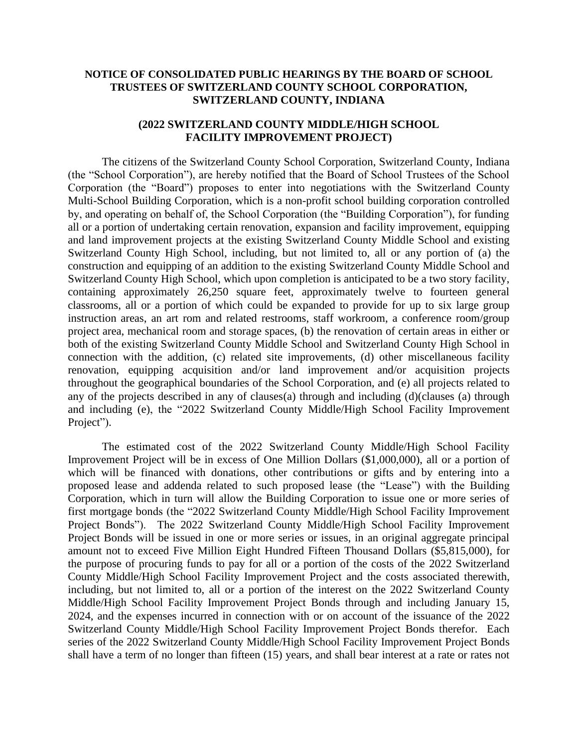## **NOTICE OF CONSOLIDATED PUBLIC HEARINGS BY THE BOARD OF SCHOOL TRUSTEES OF SWITZERLAND COUNTY SCHOOL CORPORATION, SWITZERLAND COUNTY, INDIANA**

## **(2022 SWITZERLAND COUNTY MIDDLE/HIGH SCHOOL FACILITY IMPROVEMENT PROJECT)**

The citizens of the Switzerland County School Corporation, Switzerland County, Indiana (the "School Corporation"), are hereby notified that the Board of School Trustees of the School Corporation (the "Board") proposes to enter into negotiations with the Switzerland County Multi-School Building Corporation, which is a non-profit school building corporation controlled by, and operating on behalf of, the School Corporation (the "Building Corporation"), for funding all or a portion of undertaking certain renovation, expansion and facility improvement, equipping and land improvement projects at the existing Switzerland County Middle School and existing Switzerland County High School, including, but not limited to, all or any portion of (a) the construction and equipping of an addition to the existing Switzerland County Middle School and Switzerland County High School, which upon completion is anticipated to be a two story facility, containing approximately 26,250 square feet, approximately twelve to fourteen general classrooms, all or a portion of which could be expanded to provide for up to six large group instruction areas, an art rom and related restrooms, staff workroom, a conference room/group project area, mechanical room and storage spaces, (b) the renovation of certain areas in either or both of the existing Switzerland County Middle School and Switzerland County High School in connection with the addition, (c) related site improvements, (d) other miscellaneous facility renovation, equipping acquisition and/or land improvement and/or acquisition projects throughout the geographical boundaries of the School Corporation, and (e) all projects related to any of the projects described in any of clauses(a) through and including (d)(clauses (a) through and including (e), the "2022 Switzerland County Middle/High School Facility Improvement Project").

The estimated cost of the 2022 Switzerland County Middle/High School Facility Improvement Project will be in excess of One Million Dollars (\$1,000,000), all or a portion of which will be financed with donations, other contributions or gifts and by entering into a proposed lease and addenda related to such proposed lease (the "Lease") with the Building Corporation, which in turn will allow the Building Corporation to issue one or more series of first mortgage bonds (the "2022 Switzerland County Middle/High School Facility Improvement Project Bonds"). The 2022 Switzerland County Middle/High School Facility Improvement Project Bonds will be issued in one or more series or issues, in an original aggregate principal amount not to exceed Five Million Eight Hundred Fifteen Thousand Dollars (\$5,815,000), for the purpose of procuring funds to pay for all or a portion of the costs of the 2022 Switzerland County Middle/High School Facility Improvement Project and the costs associated therewith, including, but not limited to, all or a portion of the interest on the 2022 Switzerland County Middle/High School Facility Improvement Project Bonds through and including January 15, 2024, and the expenses incurred in connection with or on account of the issuance of the 2022 Switzerland County Middle/High School Facility Improvement Project Bonds therefor. Each series of the 2022 Switzerland County Middle/High School Facility Improvement Project Bonds shall have a term of no longer than fifteen (15) years, and shall bear interest at a rate or rates not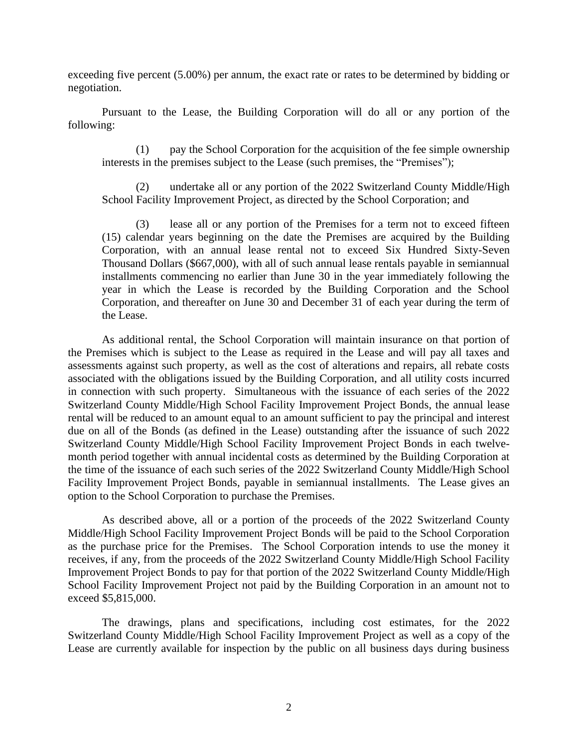exceeding five percent (5.00%) per annum, the exact rate or rates to be determined by bidding or negotiation.

Pursuant to the Lease, the Building Corporation will do all or any portion of the following:

(1) pay the School Corporation for the acquisition of the fee simple ownership interests in the premises subject to the Lease (such premises, the "Premises");

(2) undertake all or any portion of the 2022 Switzerland County Middle/High School Facility Improvement Project, as directed by the School Corporation; and

(3) lease all or any portion of the Premises for a term not to exceed fifteen (15) calendar years beginning on the date the Premises are acquired by the Building Corporation, with an annual lease rental not to exceed Six Hundred Sixty-Seven Thousand Dollars (\$667,000), with all of such annual lease rentals payable in semiannual installments commencing no earlier than June 30 in the year immediately following the year in which the Lease is recorded by the Building Corporation and the School Corporation, and thereafter on June 30 and December 31 of each year during the term of the Lease.

As additional rental, the School Corporation will maintain insurance on that portion of the Premises which is subject to the Lease as required in the Lease and will pay all taxes and assessments against such property, as well as the cost of alterations and repairs, all rebate costs associated with the obligations issued by the Building Corporation, and all utility costs incurred in connection with such property. Simultaneous with the issuance of each series of the 2022 Switzerland County Middle/High School Facility Improvement Project Bonds, the annual lease rental will be reduced to an amount equal to an amount sufficient to pay the principal and interest due on all of the Bonds (as defined in the Lease) outstanding after the issuance of such 2022 Switzerland County Middle/High School Facility Improvement Project Bonds in each twelvemonth period together with annual incidental costs as determined by the Building Corporation at the time of the issuance of each such series of the 2022 Switzerland County Middle/High School Facility Improvement Project Bonds, payable in semiannual installments. The Lease gives an option to the School Corporation to purchase the Premises.

As described above, all or a portion of the proceeds of the 2022 Switzerland County Middle/High School Facility Improvement Project Bonds will be paid to the School Corporation as the purchase price for the Premises. The School Corporation intends to use the money it receives, if any, from the proceeds of the 2022 Switzerland County Middle/High School Facility Improvement Project Bonds to pay for that portion of the 2022 Switzerland County Middle/High School Facility Improvement Project not paid by the Building Corporation in an amount not to exceed \$5,815,000.

The drawings, plans and specifications, including cost estimates, for the 2022 Switzerland County Middle/High School Facility Improvement Project as well as a copy of the Lease are currently available for inspection by the public on all business days during business